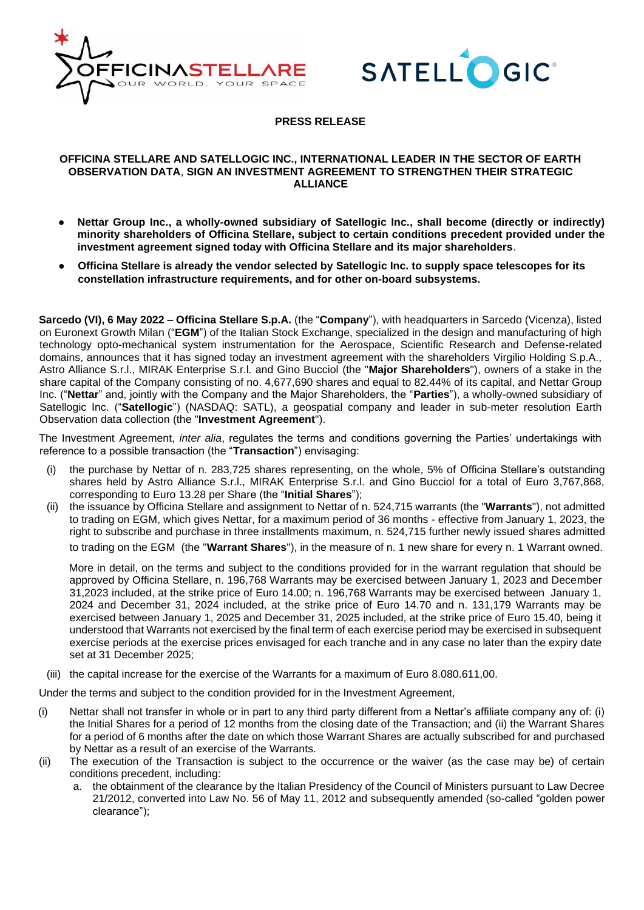



## **PRESS RELEASE**

## **OFFICINA STELLARE AND SATELLOGIC INC., INTERNATIONAL LEADER IN THE SECTOR OF EARTH OBSERVATION DATA**, **SIGN AN INVESTMENT AGREEMENT TO STRENGTHEN THEIR STRATEGIC ALLIANCE**

- **Nettar Group Inc., a wholly-owned subsidiary of Satellogic Inc., shall become (directly or indirectly) minority shareholders of Officina Stellare, subject to certain conditions precedent provided under the investment agreement signed today with Officina Stellare and its major shareholders**.
- **Officina Stellare is already the vendor selected by Satellogic Inc. to supply space telescopes for its constellation infrastructure requirements, and for other on-board subsystems.**

**Sarcedo (VI), 6 May 2022** – **Officina Stellare S.p.A.** (the "**Company**"), with headquarters in Sarcedo (Vicenza), listed on Euronext Growth Milan ("**EGM**") of the Italian Stock Exchange, specialized in the design and manufacturing of high technology opto-mechanical system instrumentation for the Aerospace, Scientific Research and Defense-related domains, announces that it has signed today an investment agreement with the shareholders Virgilio Holding S.p.A., Astro Alliance S.r.l., MIRAK Enterprise S.r.l. and Gino Bucciol (the "**Major Shareholders**"), owners of a stake in the share capital of the Company consisting of no. 4,677,690 shares and equal to 82.44% of its capital, and Nettar Group Inc. ("**Nettar**" and, jointly with the Company and the Major Shareholders, the "**Parties**"), a wholly-owned subsidiary of Satellogic Inc. ("**Satellogic**") (NASDAQ: SATL), a geospatial company and leader in sub-meter resolution Earth Observation data collection (the "**Investment Agreement**").

The Investment Agreement, *inter alia*, regulates the terms and conditions governing the Parties' undertakings with reference to a possible transaction (the "**Transaction**") envisaging:

- (i) the purchase by Nettar of n. 283,725 shares representing, on the whole, 5% of Officina Stellare's outstanding shares held by Astro Alliance S.r.l., MIRAK Enterprise S.r.l. and Gino Bucciol for a total of Euro 3,767,868, corresponding to Euro 13.28 per Share (the "**Initial Shares**");
- (ii) the issuance by Officina Stellare and assignment to Nettar of n. 524,715 warrants (the "**Warrants**"), not admitted to trading on EGM, which gives Nettar, for a maximum period of 36 months - effective from January 1, 2023, the right to subscribe and purchase in three installments maximum, n. 524,715 further newly issued shares admitted to trading on the EGM (the "**Warrant Shares**"), in the measure of n. 1 new share for every n. 1 Warrant owned.

More in detail, on the terms and subject to the conditions provided for in the warrant regulation that should be approved by Officina Stellare, n. 196,768 Warrants may be exercised between January 1, 2023 and December 31,2023 included, at the strike price of Euro 14.00; n. 196,768 Warrants may be exercised between January 1, 2024 and December 31, 2024 included, at the strike price of Euro 14.70 and n. 131,179 Warrants may be exercised between January 1, 2025 and December 31, 2025 included, at the strike price of Euro 15.40, being it understood that Warrants not exercised by the final term of each exercise period may be exercised in subsequent exercise periods at the exercise prices envisaged for each tranche and in any case no later than the expiry date set at 31 December 2025;

(iii) the capital increase for the exercise of the Warrants for a maximum of Euro 8.080.611,00.

Under the terms and subject to the condition provided for in the Investment Agreement,

- (i) Nettar shall not transfer in whole or in part to any third party different from a Nettar's affiliate company any of: (i) the Initial Shares for a period of 12 months from the closing date of the Transaction; and (ii) the Warrant Shares for a period of 6 months after the date on which those Warrant Shares are actually subscribed for and purchased by Nettar as a result of an exercise of the Warrants.
- (ii) The execution of the Transaction is subject to the occurrence or the waiver (as the case may be) of certain conditions precedent, including:
	- a. the obtainment of the clearance by the Italian Presidency of the Council of Ministers pursuant to Law Decree 21/2012, converted into Law No. 56 of May 11, 2012 and subsequently amended (so-called "golden power clearance");